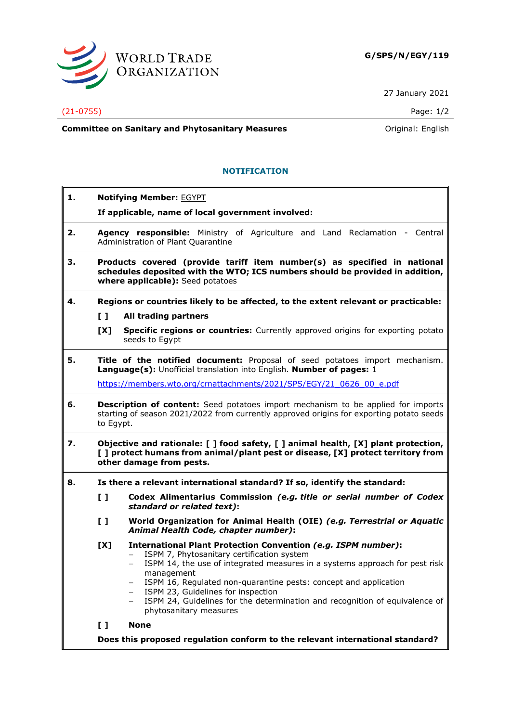

27 January 2021

## (21-0755) Page: 1/2

**Committee on Sanitary and Phytosanitary Measures Committee on Sanitary and Phytosanitary Measures Committee And American** 

## **NOTIFICATION**

**1. Notifying Member:** EGYPT **If applicable, name of local government involved: 2. Agency responsible:** Ministry of Agriculture and Land Reclamation - Central Administration of Plant Quarantine **3. Products covered (provide tariff item number(s) as specified in national schedules deposited with the WTO; ICS numbers should be provided in addition, where applicable):** Seed potatoes **4. Regions or countries likely to be affected, to the extent relevant or practicable: [ ] All trading partners [X] Specific regions or countries:** Currently approved origins for exporting potato seeds to Egypt **5. Title of the notified document:** Proposal of seed potatoes import mechanism. **Language(s):** Unofficial translation into English. **Number of pages:** 1 [https://members.wto.org/crnattachments/2021/SPS/EGY/21\\_0626\\_00\\_e.pdf](https://members.wto.org/crnattachments/2021/SPS/EGY/21_0626_00_e.pdf) **6. Description of content:** Seed potatoes import mechanism to be applied for imports starting of season 2021/2022 from currently approved origins for exporting potato seeds to Egypt. **7. Objective and rationale: [ ] food safety, [ ] animal health, [X] plant protection, [ ] protect humans from animal/plant pest or disease, [X] protect territory from other damage from pests. 8. Is there a relevant international standard? If so, identify the standard: [ ] Codex Alimentarius Commission** *(e.g. title or serial number of Codex standard or related text)***: [ ] World Organization for Animal Health (OIE)** *(e.g. Terrestrial or Aquatic Animal Health Code, chapter number)***: [X] International Plant Protection Convention** *(e.g. ISPM number)***:** − ISPM 7, Phytosanitary certification system ISPM 14, the use of integrated measures in a systems approach for pest risk management − ISPM 16, Regulated non-quarantine pests: concept and application ISPM 23, Guidelines for inspection ISPM 24, Guidelines for the determination and recognition of equivalence of phytosanitary measures **[ ] None Does this proposed regulation conform to the relevant international standard?**